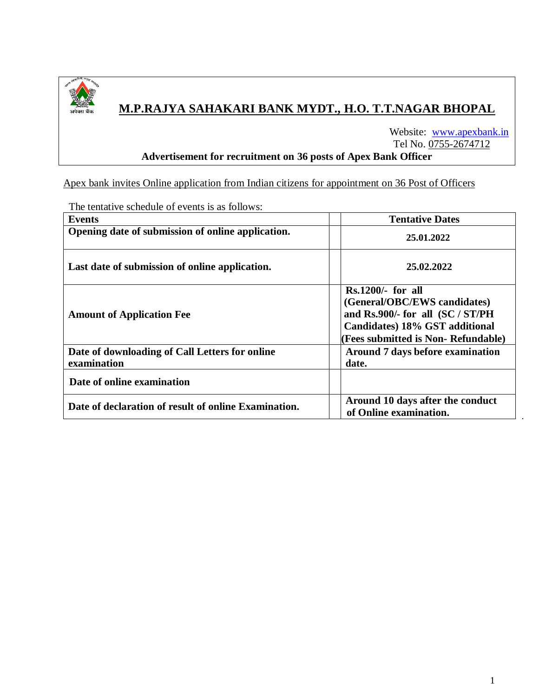

# **M.P.RAJYA SAHAKARI BANK MYDT., H.O. T.T.NAGAR BHOPAL**

 Website: [www.apexbank.in](http://www.apexbank.in/) Tel No. 0755-2674712 **Advertisement for recruitment on 36 posts of Apex Bank Officer** 

Apex bank invites Online application from Indian citizens for appointment on 36 Post of Officers

| <b>Events</b>                                                 | <b>Tentative Dates</b>                                                                                                                                          |
|---------------------------------------------------------------|-----------------------------------------------------------------------------------------------------------------------------------------------------------------|
| Opening date of submission of online application.             | 25.01.2022                                                                                                                                                      |
| Last date of submission of online application.                | 25.02.2022                                                                                                                                                      |
| <b>Amount of Application Fee</b>                              | $Rs.1200/-$ for all<br>(General/OBC/EWS candidates)<br>and Rs.900/- for all (SC / ST/PH<br>Candidates) 18% GST additional<br>(Fees submitted is Non-Refundable) |
| Date of downloading of Call Letters for online<br>examination | Around 7 days before examination<br>date.                                                                                                                       |
| Date of online examination                                    |                                                                                                                                                                 |
| Date of declaration of result of online Examination.          | Around 10 days after the conduct<br>of Online examination.                                                                                                      |

The tentative schedule of events is as follows: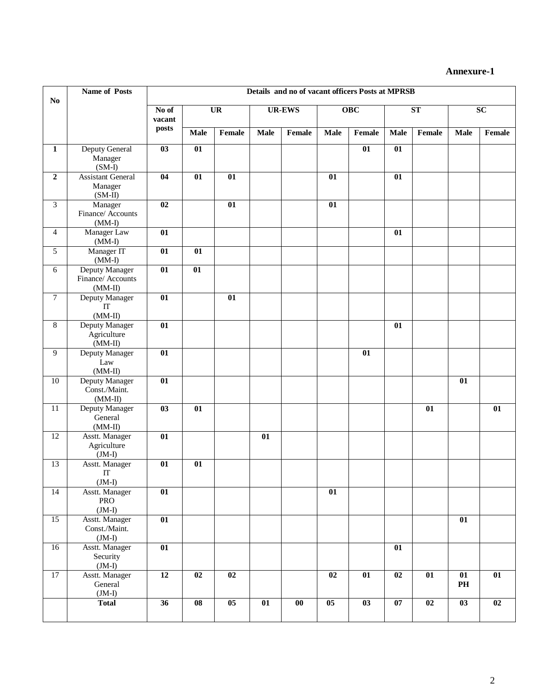# **Annexure-1**

|                  | <b>Name of Posts</b>                             | Details and no of vacant officers Posts at MPRSB |                        |                 |               |           |                 |                 |                 |        |                 |        |
|------------------|--------------------------------------------------|--------------------------------------------------|------------------------|-----------------|---------------|-----------|-----------------|-----------------|-----------------|--------|-----------------|--------|
| N <sub>0</sub>   |                                                  | $\overline{No}$ of<br>vacant                     | $\overline{\text{UR}}$ |                 | <b>UR-EWS</b> |           | <b>OBC</b>      |                 | ST              |        | $\overline{SC}$ |        |
|                  |                                                  | posts                                            | <b>Male</b>            | Female          | <b>Male</b>   | Female    | <b>Male</b>     | Female          | <b>Male</b>     | Female | <b>Male</b>     | Female |
| $\mathbf{1}$     | Deputy General<br>Manager<br>$(SM-I)$            | 03                                               | 01                     |                 |               |           |                 | $\overline{01}$ | $\overline{01}$ |        |                 |        |
| $\boldsymbol{2}$ | <b>Assistant General</b><br>Manager<br>$(SM-II)$ | 04                                               | 01                     | $\overline{01}$ |               |           | $\overline{01}$ |                 | $\overline{01}$ |        |                 |        |
| $\overline{3}$   | Manager<br>Finance/ Accounts<br>$(MM-I)$         | $\overline{02}$                                  |                        | $\overline{01}$ |               |           | 01              |                 |                 |        |                 |        |
| $\overline{4}$   | Manager Law<br>$(MM-I)$                          | 01                                               |                        |                 |               |           |                 |                 | 01              |        |                 |        |
| 5                | Manager IT<br>$(MM-I)$                           | 01                                               | 01                     |                 |               |           |                 |                 |                 |        |                 |        |
| 6                | Deputy Manager<br>Finance/Accounts<br>$(MM-II)$  | 01                                               | 01                     |                 |               |           |                 |                 |                 |        |                 |        |
| 7                | Deputy Manager<br>IT<br>$(MM-II)$                | $\overline{01}$                                  |                        | 01              |               |           |                 |                 |                 |        |                 |        |
| 8                | Deputy Manager<br>Agriculture<br>$(MM-II)$       | 01                                               |                        |                 |               |           |                 |                 | 01              |        |                 |        |
| 9                | Deputy Manager<br>Law<br>$(MM-II)$               | 01                                               |                        |                 |               |           |                 | 01              |                 |        |                 |        |
| 10               | Deputy Manager<br>Const./Maint.<br>$(MM-II)$     | 01                                               |                        |                 |               |           |                 |                 |                 |        | 01              |        |
| 11               | Deputy Manager<br>General<br>$(MM-II)$           | 03                                               | 01                     |                 |               |           |                 |                 |                 | 01     |                 | 01     |
| 12               | Asstt. Manager<br>Agriculture<br>$(JM-I)$        | $\overline{01}$                                  |                        |                 | 01            |           |                 |                 |                 |        |                 |        |
| 13               | Asstt. Manager<br>$_{\rm IT}$<br>$(JM-I)$        | 01                                               | 01                     |                 |               |           |                 |                 |                 |        |                 |        |
| 14               | Asstt. Manager<br>PRO<br>$(JM-I)$                | $\overline{01}$                                  |                        |                 |               |           | 01              |                 |                 |        |                 |        |
| $\overline{15}$  | Asstt. Manager<br>Const./Maint.<br>$(JM-I)$      | $\overline{01}$                                  |                        |                 |               |           |                 |                 |                 |        | $\overline{01}$ |        |
| 16               | Asstt. Manager<br>Security<br>$(JM-I)$           | $\overline{01}$                                  |                        |                 |               |           |                 |                 | $\overline{01}$ |        |                 |        |
| 17               | Asstt. Manager<br>General<br>$(JM-I)$            | 12                                               | 02                     | 02              |               |           | 02              | 01              | 02              | 01     | 01<br>PH        | 01     |
|                  | <b>Total</b>                                     | 36                                               | $\overline{08}$        | $05\,$          | 01            | $\bf{00}$ | $\overline{05}$ | 03              | 07              | 02     | 03              | 02     |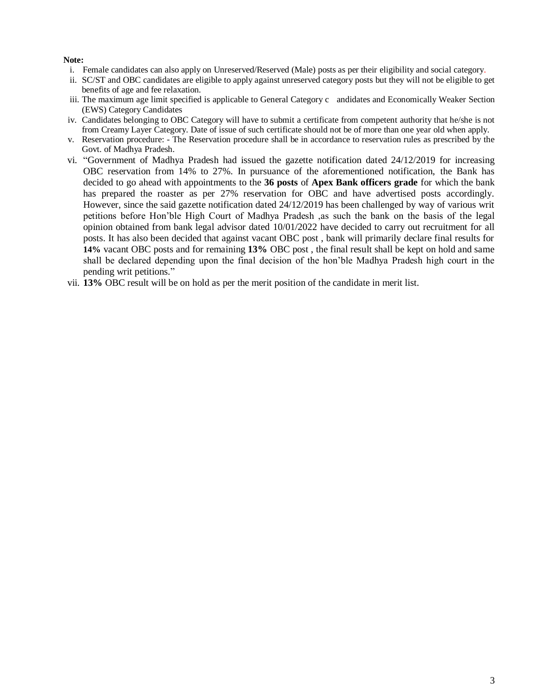## **Note:**

- i. Female candidates can also apply on Unreserved/Reserved (Male) posts as per their eligibility and social category.
- ii. SC/ST and OBC candidates are eligible to apply against unreserved category posts but they will not be eligible to get benefits of age and fee relaxation.
- iii. The maximum age limit specified is applicable to General Category c andidates and Economically Weaker Section (EWS) Category Candidates
- iv. Candidates belonging to OBC Category will have to submit a certificate from competent authority that he/she is not from Creamy Layer Category. Date of issue of such certificate should not be of more than one year old when apply.
- v. Reservation procedure: The Reservation procedure shall be in accordance to reservation rules as prescribed by the Govt. of Madhya Pradesh.
- vi. "Government of Madhya Pradesh had issued the gazette notification dated 24/12/2019 for increasing OBC reservation from 14% to 27%. In pursuance of the aforementioned notification, the Bank has decided to go ahead with appointments to the **36 posts** of **Apex Bank officers grade** for which the bank has prepared the roaster as per 27% reservation for OBC and have advertised posts accordingly. However, since the said gazette notification dated 24/12/2019 has been challenged by way of various writ petitions before Hon'ble High Court of Madhya Pradesh ,as such the bank on the basis of the legal opinion obtained from bank legal advisor dated 10/01/2022 have decided to carry out recruitment for all posts. It has also been decided that against vacant OBC post , bank will primarily declare final results for **14%** vacant OBC posts and for remaining **13%** OBC post , the final result shall be kept on hold and same shall be declared depending upon the final decision of the hon'ble Madhya Pradesh high court in the pending writ petitions."
- vii. **13%** OBC result will be on hold as per the merit position of the candidate in merit list.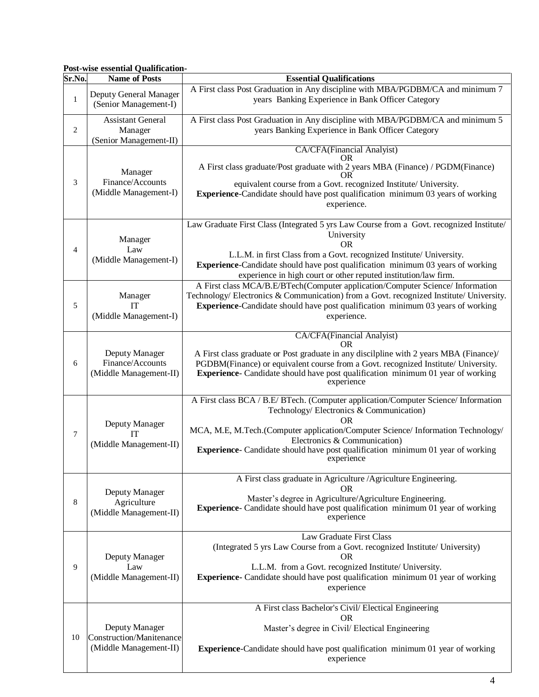# **Post-wise essential Qualification-**

| Sr.No.         | <b>Name of Posts</b>                                                 | <b>Essential Qualifications</b>                                                                                                                                                                                                                                                                                                                            |  |  |
|----------------|----------------------------------------------------------------------|------------------------------------------------------------------------------------------------------------------------------------------------------------------------------------------------------------------------------------------------------------------------------------------------------------------------------------------------------------|--|--|
| $\mathbf{1}$   | Deputy General Manager<br>(Senior Management-I)                      | A First class Post Graduation in Any discipline with MBA/PGDBM/CA and minimum 7<br>years Banking Experience in Bank Officer Category                                                                                                                                                                                                                       |  |  |
| 2              | <b>Assistant General</b><br>Manager<br>(Senior Management-II)        | A First class Post Graduation in Any discipline with MBA/PGDBM/CA and minimum 5<br>years Banking Experience in Bank Officer Category                                                                                                                                                                                                                       |  |  |
| 3              | Manager<br>Finance/Accounts<br>(Middle Management-I)                 | CA/CFA(Financial Analyist)<br>OR.<br>A First class graduate/Post graduate with 2 years MBA (Finance) / PGDM(Finance)<br>equivalent course from a Govt. recognized Institute/ University.<br><b>Experience-Candidate should have post qualification minimum 03 years of working</b><br>experience.                                                          |  |  |
| $\overline{4}$ | Manager<br>Law<br>(Middle Management-I)                              | Law Graduate First Class (Integrated 5 yrs Law Course from a Govt. recognized Institute/<br>University<br><b>OR</b><br>L.L.M. in first Class from a Govt. recognized Institute/ University.<br><b>Experience-Candidate should have post qualification minimum 03 years of working</b><br>experience in high court or other reputed institution/law firm.   |  |  |
| 5              | Manager<br><b>IT</b><br>(Middle Management-I)                        | A First class MCA/B.E/BTech(Computer application/Computer Science/ Information<br>Technology/ Electronics & Communication) from a Govt. recognized Institute/ University.<br><b>Experience-Candidate should have post qualification minimum 03 years of working</b><br>experience.                                                                         |  |  |
| 6              | Deputy Manager<br>Finance/Accounts<br>(Middle Management-II)         | CA/CFA(Financial Analyist)<br>OR.<br>A First class graduate or Post graduate in any discilpline with 2 years MBA (Finance)/<br>PGDBM(Finance) or equivalent course from a Govt. recognized Institute/ University.<br>Experience- Candidate should have post qualification minimum 01 year of working<br>experience                                         |  |  |
| 7              | Deputy Manager<br>IТ<br>(Middle Management-II)                       | A First class BCA / B.E/ BTech. (Computer application/Computer Science/ Information<br>Technology/Electronics & Communication)<br>OR.<br>MCA, M.E, M.Tech.(Computer application/Computer Science/ Information Technology/<br>Electronics & Communication)<br>Experience- Candidate should have post qualification minimum 01 year of working<br>experience |  |  |
| 8              | Deputy Manager<br>Agriculture<br>(Middle Management-II)              | A First class graduate in Agriculture / Agriculture Engineering.<br>OR.<br>Master's degree in Agriculture/Agriculture Engineering.<br><b>Experience</b> - Candidate should have post qualification minimum 01 year of working<br>experience                                                                                                                |  |  |
| 9              | Deputy Manager<br>Law<br>(Middle Management-II)                      | Law Graduate First Class<br>(Integrated 5 yrs Law Course from a Govt. recognized Institute/ University)<br>OR.<br>L.L.M. from a Govt. recognized Institute/ University.<br>Experience- Candidate should have post qualification minimum 01 year of working<br>experience                                                                                   |  |  |
| 10             | Deputy Manager<br>Construction/Manitenance<br>(Middle Management-II) | A First class Bachelor's Civil/ Electical Engineering<br><b>OR</b><br>Master's degree in Civil/ Electical Engineering<br>Experience-Candidate should have post qualification minimum 01 year of working<br>experience                                                                                                                                      |  |  |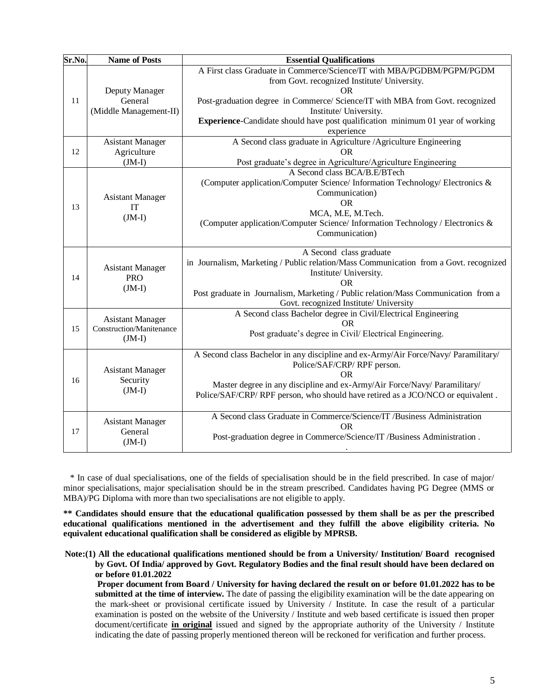| Sr.No. | <b>Name of Posts</b>                                            | <b>Essential Qualifications</b>                                                                                                                                                                                                                                                                                                                |  |  |
|--------|-----------------------------------------------------------------|------------------------------------------------------------------------------------------------------------------------------------------------------------------------------------------------------------------------------------------------------------------------------------------------------------------------------------------------|--|--|
| 11     | Deputy Manager<br>General<br>(Middle Management-II)             | A First class Graduate in Commerce/Science/IT with MBA/PGDBM/PGPM/PGDM<br>from Govt. recognized Institute/ University.<br><b>OR</b><br>Post-graduation degree in Commerce/ Science/IT with MBA from Govt. recognized<br>Institute/ University.<br>Experience-Candidate should have post qualification minimum 01 year of working<br>experience |  |  |
| 12     | <b>Asistant Manager</b><br>Agriculture<br>$(JM-I)$              | A Second class graduate in Agriculture / Agriculture Engineering<br><b>OR</b><br>Post graduate's degree in Agriculture/Agriculture Engineering                                                                                                                                                                                                 |  |  |
| 13     | <b>Asistant Manager</b><br><b>IT</b><br>$(JM-I)$                | A Second class BCA/B.E/BTech<br>(Computer application/Computer Science/ Information Technology/ Electronics &<br>Communication)<br><b>OR</b><br>MCA, M.E, M.Tech.<br>(Computer application/Computer Science/ Information Technology / Electronics &<br>Communication)                                                                          |  |  |
| 14     | <b>Asistant Manager</b><br><b>PRO</b><br>$(JM-I)$               | A Second class graduate<br>in Journalism, Marketing / Public relation/Mass Communication from a Govt. recognized<br>Institute/ University.<br><b>OR</b><br>Post graduate in Journalism, Marketing / Public relation/Mass Communication from a<br>Govt. recognized Institute/ University                                                        |  |  |
| 15     | <b>Asistant Manager</b><br>Construction/Manitenance<br>$(JM-I)$ | A Second class Bachelor degree in Civil/Electrical Engineering<br>OR.<br>Post graduate's degree in Civil/ Electrical Engineering.                                                                                                                                                                                                              |  |  |
| 16     | <b>Asistant Manager</b><br>Security<br>$(JM-I)$                 | A Second class Bachelor in any discipline and ex-Army/Air Force/Navy/ Paramilitary/<br>Police/SAF/CRP/RPF person.<br>OR<br>Master degree in any discipline and ex-Army/Air Force/Navy/ Paramilitary/<br>Police/SAF/CRP/RPF person, who should have retired as a JCO/NCO or equivalent.                                                         |  |  |
| 17     | <b>Asistant Manager</b><br>General<br>$(JM-I)$                  | A Second class Graduate in Commerce/Science/IT /Business Administration<br><b>OR</b><br>Post-graduation degree in Commerce/Science/IT /Business Administration.                                                                                                                                                                                |  |  |

\* In case of dual specialisations, one of the fields of specialisation should be in the field prescribed. In case of major/ minor specialisations, major specialisation should be in the stream prescribed. Candidates having PG Degree (MMS or MBA)/PG Diploma with more than two specialisations are not eligible to apply.

**\*\* Candidates should ensure that the educational qualification possessed by them shall be as per the prescribed educational qualifications mentioned in the advertisement and they fulfill the above eligibility criteria. No equivalent educational qualification shall be considered as eligible by MPRSB.** 

 **Note:(1) All the educational qualifications mentioned should be from a University/ Institution/ Board recognised by Govt. Of India/ approved by Govt. Regulatory Bodies and the final result should have been declared on or before 01.01.2022**

**Proper document from Board / University for having declared the result on or before 01.01.2022 has to be submitted at the time of interview.** The date of passing the eligibility examination will be the date appearing on the mark-sheet or provisional certificate issued by University / Institute. In case the result of a particular examination is posted on the website of the University / Institute and web based certificate is issued then proper document/certificate **in original** issued and signed by the appropriate authority of the University / Institute indicating the date of passing properly mentioned thereon will be reckoned for verification and further process.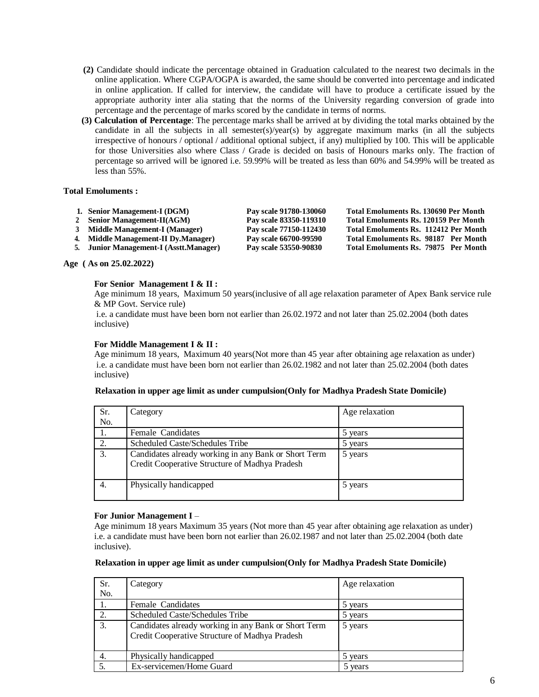- **(2)** Candidate should indicate the percentage obtained in Graduation calculated to the nearest two decimals in the online application. Where CGPA/OGPA is awarded, the same should be converted into percentage and indicated in online application. If called for interview, the candidate will have to produce a certificate issued by the appropriate authority inter alia stating that the norms of the University regarding conversion of grade into percentage and the percentage of marks scored by the candidate in terms of norms.
- **(3) Calculation of Percentage**: The percentage marks shall be arrived at by dividing the total marks obtained by the candidate in all the subjects in all semester(s)/year(s) by aggregate maximum marks (in all the subjects irrespective of honours / optional / additional optional subject, if any) multiplied by 100. This will be applicable for those Universities also where Class / Grade is decided on basis of Honours marks only. The fraction of percentage so arrived will be ignored i.e. 59.99% will be treated as less than 60% and 54.99% will be treated as less than 55%.

### **Total Emoluments :**

| 1. Senior Management-I (DGM) | Pay scale 91780-130060 | Total Emoluments Rs. 130690 Per Month |
|------------------------------|------------------------|---------------------------------------|
| Senior Management-II(AGM)    | Pay scale 83350-119310 | Total Emoluments Rs. 120159 Per Month |

**3 Middle Management-I (Manager) Pay scale 77150-112430 Total Emoluments Rs. 112412 Per Month**

- **4. Middle Management-II Dy.Manager) Pay scale 66700-99590 Total Emoluments Rs. 98187 Per Month**
- **5. Junior Management-I (Asstt.Manager) Pay scale 53550-90830 Total Emoluments Rs. 79875 Per Month**

#### **Age ( As on 25.02.2022)**

#### **For Senior Management I & II :**

Age minimum 18 years, Maximum 50 years(inclusive of all age relaxation parameter of Apex Bank service rule & MP Govt. Service rule)

i.e. a candidate must have been born not earlier than 26.02.1972 and not later than 25.02.2004 (both dates inclusive)

#### **For Middle Management I & II :**

Age minimum 18 years, Maximum 40 years(Not more than 45 year after obtaining age relaxation as under) i.e. a candidate must have been born not earlier than 26.02.1982 and not later than 25.02.2004 (both dates inclusive)

| Sr.<br>No. | Category                                                                                               | Age relaxation |
|------------|--------------------------------------------------------------------------------------------------------|----------------|
|            | Female Candidates                                                                                      | 5 years        |
| 2.         | Scheduled Caste/Schedules Tribe                                                                        | 5 years        |
| 3.         | Candidates already working in any Bank or Short Term<br>Credit Cooperative Structure of Madhya Pradesh | 5 years        |
| 4.         | Physically handicapped                                                                                 | 5 years        |

#### **Relaxation in upper age limit as under cumpulsion(Only for Madhya Pradesh State Domicile)**

#### **For Junior Management I** –

Age minimum 18 years Maximum 35 years (Not more than 45 year after obtaining age relaxation as under) i.e. a candidate must have been born not earlier than 26.02.1987 and not later than 25.02.2004 (both date inclusive).

#### **Relaxation in upper age limit as under cumpulsion(Only for Madhya Pradesh State Domicile)**

| Sr. | Category                                                                                               | Age relaxation |
|-----|--------------------------------------------------------------------------------------------------------|----------------|
| No. |                                                                                                        |                |
| 1.  | Female Candidates                                                                                      | 5 years        |
| 2.  | Scheduled Caste/Schedules Tribe                                                                        | 5 years        |
| 3.  | Candidates already working in any Bank or Short Term<br>Credit Cooperative Structure of Madhya Pradesh | 5 years        |
| 4.  | Physically handicapped                                                                                 | 5 years        |
|     | Ex-servicemen/Home Guard                                                                               | 5 years        |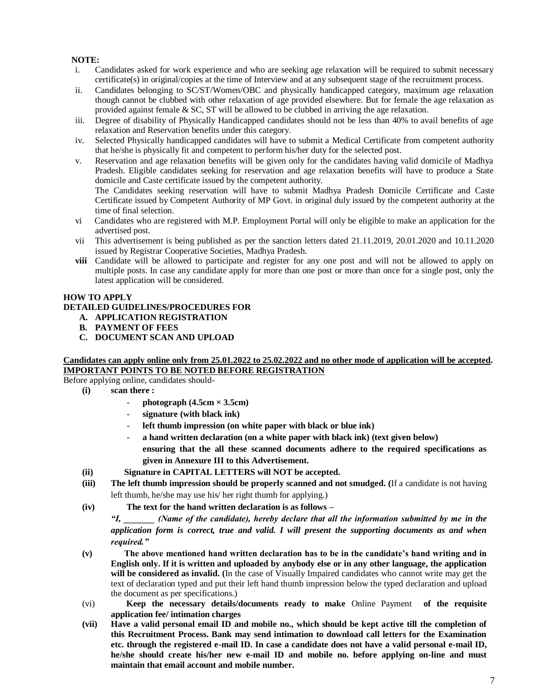# **NOTE:**

- i. Candidates asked for work experience and who are seeking age relaxation will be required to submit necessary certificate(s) in original/copies at the time of Interview and at any subsequent stage of the recruitment process.
- ii. Candidates belonging to SC/ST/Women/OBC and physically handicapped category, maximum age relaxation though cannot be clubbed with other relaxation of age provided elsewhere. But for female the age relaxation as provided against female & SC, ST will be allowed to be clubbed in arriving the age relaxation.
- iii. Degree of disability of Physically Handicapped candidates should not be less than 40% to avail benefits of age relaxation and Reservation benefits under this category.
- iv. Selected Physically handicapped candidates will have to submit a Medical Certificate from competent authority that he/she is physically fit and competent to perform his/her duty for the selected post.
- v. Reservation and age relaxation benefits will be given only for the candidates having valid domicile of Madhya Pradesh. Eligible candidates seeking for reservation and age relaxation benefits will have to produce a State domicile and Caste certificate issued by the competent authority.

The Candidates seeking reservation will have to submit Madhya Pradesh Domicile Certificate and Caste Certificate issued by Competent Authority of MP Govt. in original duly issued by the competent authority at the time of final selection.

- vi Candidates who are registered with M.P. Employment Portal will only be eligible to make an application for the advertised post.
- vii This advertisement is being published as per the sanction letters dated 21.11.2019, 20.01.2020 and 10.11.2020 issued by Registrar Cooperative Societies, Madhya Pradesh.
- **viii** Candidate will be allowed to participate and register for any one post and will not be allowed to apply on multiple posts. In case any candidate apply for more than one post or more than once for a single post, only the latest application will be considered.

## **HOW TO APPLY**

## **DETAILED GUIDELINES/PROCEDURES FOR**

- **A. APPLICATION REGISTRATION**
- **B. PAYMENT OF FEES**
- **C. DOCUMENT SCAN AND UPLOAD**

# **Candidates can apply online only from 25.01.2022 to 25.02.2022 and no other mode of application will be accepted. IMPORTANT POINTS TO BE NOTED BEFORE REGISTRATION**

Before applying online, candidates should-

- **(i) scan there :** 
	- $photograph$  (4.5cm  $\times$  3.5cm)
	- **signature (with black ink)**
	- **left thumb impression (on white paper with black or blue ink)**
	- **a hand written declaration (on a white paper with black ink) (text given below) ensuring that the all these scanned documents adhere to the required specifications as given in Annexure III to this Advertisement.**
- **(ii) Signature in CAPITAL LETTERS will NOT be accepted.**
- **(iii) The left thumb impression should be properly scanned and not smudged. (**If a candidate is not having left thumb, he/she may use his/ her right thumb for applying.)
- **(iv) The text for the hand written declaration is as follows –**

*"I, \_\_\_\_\_\_\_ (Name of the candidate), hereby declare that all the information submitted by me in the application form is correct, true and valid. I will present the supporting documents as and when required."* 

- **(v) The above mentioned hand written declaration has to be in the candidate's hand writing and in English only. If it is written and uploaded by anybody else or in any other language, the application will be considered as invalid. (**In the case of Visually Impaired candidates who cannot write may get the text of declaration typed and put their left hand thumb impression below the typed declaration and upload the document as per specifications.)
- (vi) **Keep the necessary details/documents ready to make** Online Payment **of the requisite application fee/ intimation charges**
- **(vii) Have a valid personal email ID and mobile no., which should be kept active till the completion of this Recruitment Process. Bank may send intimation to download call letters for the Examination etc. through the registered e-mail ID. In case a candidate does not have a valid personal e-mail ID, he/she should create his/her new e-mail ID and mobile no. before applying on-line and must maintain that email account and mobile number.**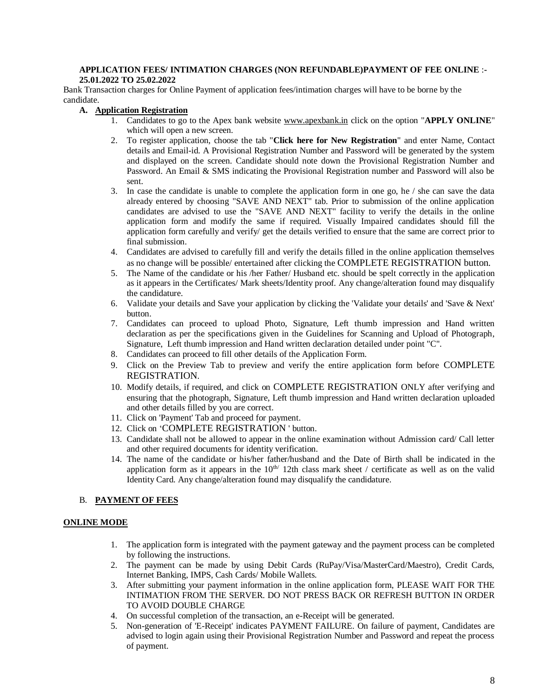#### **APPLICATION FEES/ INTIMATION CHARGES (NON REFUNDABLE)PAYMENT OF FEE ONLINE** :**- 25.01.2022 TO 25.02.2022**

Bank Transaction charges for Online Payment of application fees/intimation charges will have to be borne by the candidate.

## **A. Application Registration**

- 1. Candidates to go to the Apex bank website www.apexbank.in click on the option "**APPLY ONLINE**" which will open a new screen.
- 2. To register application, choose the tab "**Click here for New Registration**" and enter Name, Contact details and Email-id. A Provisional Registration Number and Password will be generated by the system and displayed on the screen. Candidate should note down the Provisional Registration Number and Password. An Email & SMS indicating the Provisional Registration number and Password will also be sent.
- 3. In case the candidate is unable to complete the application form in one go, he / she can save the data already entered by choosing "SAVE AND NEXT" tab. Prior to submission of the online application candidates are advised to use the "SAVE AND NEXT" facility to verify the details in the online application form and modify the same if required. Visually Impaired candidates should fill the application form carefully and verify/ get the details verified to ensure that the same are correct prior to final submission.
- 4. Candidates are advised to carefully fill and verify the details filled in the online application themselves as no change will be possible/ entertained after clicking the COMPLETE REGISTRATION button.
- 5. The Name of the candidate or his /her Father/ Husband etc. should be spelt correctly in the application as it appears in the Certificates/ Mark sheets/Identity proof. Any change/alteration found may disqualify the candidature.
- 6. Validate your details and Save your application by clicking the 'Validate your details' and 'Save & Next' button.
- 7. Candidates can proceed to upload Photo, Signature, Left thumb impression and Hand written declaration as per the specifications given in the Guidelines for Scanning and Upload of Photograph, Signature, Left thumb impression and Hand written declaration detailed under point "C".
- 8. Candidates can proceed to fill other details of the Application Form.
- 9. Click on the Preview Tab to preview and verify the entire application form before COMPLETE REGISTRATION.
- 10. Modify details, if required, and click on COMPLETE REGISTRATION ONLY after verifying and ensuring that the photograph, Signature, Left thumb impression and Hand written declaration uploaded and other details filled by you are correct.
- 11. Click on 'Payment' Tab and proceed for payment.
- 12. Click on 'COMPLETE REGISTRATION ' button.
- 13. Candidate shall not be allowed to appear in the online examination without Admission card/ Call letter and other required documents for identity verification.
- 14. The name of the candidate or his/her father/husband and the Date of Birth shall be indicated in the application form as it appears in the  $10<sup>th</sup>$  12th class mark sheet / certificate as well as on the valid Identity Card. Any change/alteration found may disqualify the candidature.

## B. **PAYMENT OF FEES**

## **ONLINE MODE**

- 1. The application form is integrated with the payment gateway and the payment process can be completed by following the instructions.
- 2. The payment can be made by using Debit Cards (RuPay/Visa/MasterCard/Maestro), Credit Cards, Internet Banking, IMPS, Cash Cards/ Mobile Wallets.
- 3. After submitting your payment information in the online application form, PLEASE WAIT FOR THE INTIMATION FROM THE SERVER. DO NOT PRESS BACK OR REFRESH BUTTON IN ORDER TO AVOID DOUBLE CHARGE
- 4. On successful completion of the transaction, an e-Receipt will be generated.
- 5. Non-generation of 'E-Receipt' indicates PAYMENT FAILURE. On failure of payment, Candidates are advised to login again using their Provisional Registration Number and Password and repeat the process of payment.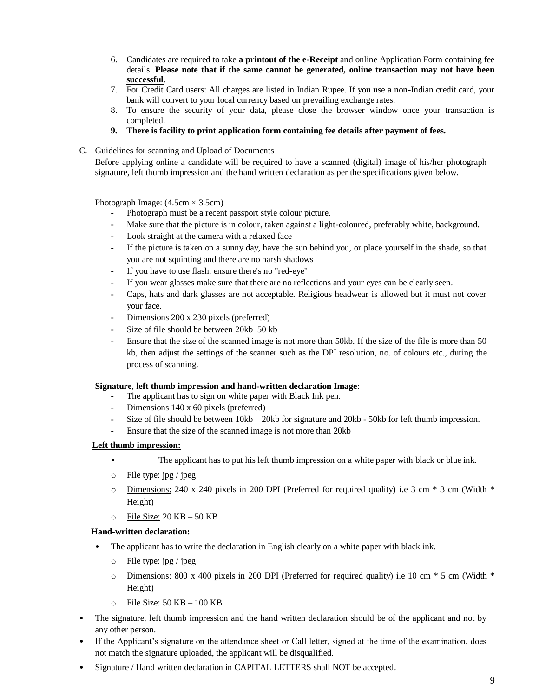- 6. Candidates are required to take **a printout of the e-Receipt** and online Application Form containing fee details .**Please note that if the same cannot be generated, online transaction may not have been successful**.
- 7. For Credit Card users: All charges are listed in Indian Rupee. If you use a non-Indian credit card, your bank will convert to your local currency based on prevailing exchange rates.
- 8. To ensure the security of your data, please close the browser window once your transaction is completed.
- **9. There is facility to print application form containing fee details after payment of fees.**
- C. Guidelines for scanning and Upload of Documents

Before applying online a candidate will be required to have a scanned (digital) image of his/her photograph signature, left thumb impression and the hand written declaration as per the specifications given below.

Photograph Image:  $(4.5cm \times 3.5cm)$ 

- **-** Photograph must be a recent passport style colour picture.
- **-** Make sure that the picture is in colour, taken against a light-coloured, preferably white, background.
- **-** Look straight at the camera with a relaxed face
- **-** If the picture is taken on a sunny day, have the sun behind you, or place yourself in the shade, so that you are not squinting and there are no harsh shadows
- **-** If you have to use flash, ensure there's no "red-eye"
- **-** If you wear glasses make sure that there are no reflections and your eyes can be clearly seen.
- **-** Caps, hats and dark glasses are not acceptable. Religious headwear is allowed but it must not cover your face.
- **-** Dimensions 200 x 230 pixels (preferred)
- **-** Size of file should be between 20kb–50 kb
- **-** Ensure that the size of the scanned image is not more than 50kb. If the size of the file is more than 50 kb, then adjust the settings of the scanner such as the DPI resolution, no. of colours etc., during the process of scanning.

## **Signature**, **left thumb impression and hand-written declaration Image**:

- **-** The applicant has to sign on white paper with Black Ink pen.
- **-** Dimensions 140 x 60 pixels (preferred)
- **-** Size of file should be between 10kb 20kb for signature and 20kb 50kb for left thumb impression.
- **-** Ensure that the size of the scanned image is not more than 20kb

# **Left thumb impression:**

- The applicant has to put his left thumb impression on a white paper with black or blue ink.
- $\circ$  File type: jpg / jpeg
- $\circ$  Dimensions: 240 x 240 pixels in 200 DPI (Preferred for required quality) i.e 3 cm  $*$  3 cm (Width  $*$ Height)
- $\circ$  File Size: 20 KB 50 KB

## **Hand-written declaration:**

- The applicant has to write the declaration in English clearly on a white paper with black ink.
	- o File type: jpg / jpeg
	- o Dimensions: 800 x 400 pixels in 200 DPI (Preferred for required quality) i.e 10 cm \* 5 cm (Width \* Height)
	- o File Size: 50 KB 100 KB
- The signature, left thumb impression and the hand written declaration should be of the applicant and not by any other person.
- If the Applicant's signature on the attendance sheet or Call letter, signed at the time of the examination, does not match the signature uploaded, the applicant will be disqualified.
- Signature / Hand written declaration in CAPITAL LETTERS shall NOT be accepted.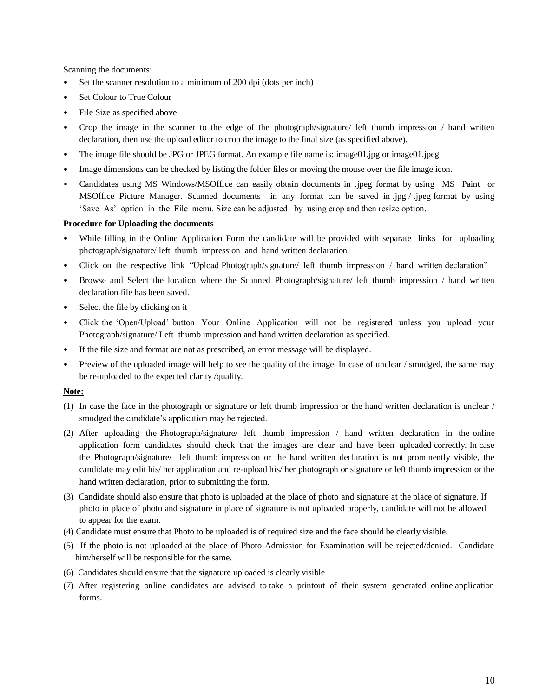Scanning the documents:

- Set the scanner resolution to a minimum of 200 dpi (dots per inch)
- Set Colour to True Colour
- File Size as specified above
- Crop the image in the scanner to the edge of the photograph/signature/ left thumb impression / hand written declaration, then use the upload editor to crop the image to the final size (as specified above).
- The image file should be JPG or JPEG format. An example file name is: image01.jpg or image01.jpeg
- Image dimensions can be checked by listing the folder files or moving the mouse over the file image icon.
- Candidates using MS Windows/MSOffice can easily obtain documents in .jpeg format by using MS Paint or MSOffice Picture Manager. Scanned documents in any format can be saved in .jpg / .jpeg format by using 'Save As' option in the File menu. Size can be adjusted by using crop and then resize option.

## **Procedure for Uploading the documents**

- While filling in the Online Application Form the candidate will be provided with separate links for uploading photograph/signature/ left thumb impression and hand written declaration
- Click on the respective link "Upload Photograph/signature/ left thumb impression / hand written declaration"
- Browse and Select the location where the Scanned Photograph/signature/ left thumb impression / hand written declaration file has been saved.
- Select the file by clicking on it
- Click the 'Open/Upload' button Your Online Application will not be registered unless you upload your Photograph/signature/ Left thumb impression and hand written declaration as specified.
- If the file size and format are not as prescribed, an error message will be displayed.
- Preview of the uploaded image will help to see the quality of the image. In case of unclear / smudged, the same may be re-uploaded to the expected clarity /quality.

## **Note:**

- (1) In case the face in the photograph or signature or left thumb impression or the hand written declaration is unclear / smudged the candidate's application may be rejected.
- (2) After uploading the Photograph/signature/ left thumb impression / hand written declaration in the online application form candidates should check that the images are clear and have been uploaded correctly. In case the Photograph/signature/ left thumb impression or the hand written declaration is not prominently visible, the candidate may edit his/ her application and re-upload his/ her photograph or signature or left thumb impression or the hand written declaration, prior to submitting the form.
- (3) Candidate should also ensure that photo is uploaded at the place of photo and signature at the place of signature. If photo in place of photo and signature in place of signature is not uploaded properly, candidate will not be allowed to appear for the exam.
- (4) Candidate must ensure that Photo to be uploaded is of required size and the face should be clearly visible.
- (5) If the photo is not uploaded at the place of Photo Admission for Examination will be rejected/denied. Candidate him/herself will be responsible for the same.
- (6) Candidates should ensure that the signature uploaded is clearly visible
- (7) After registering online candidates are advised to take a printout of their system generated online application forms.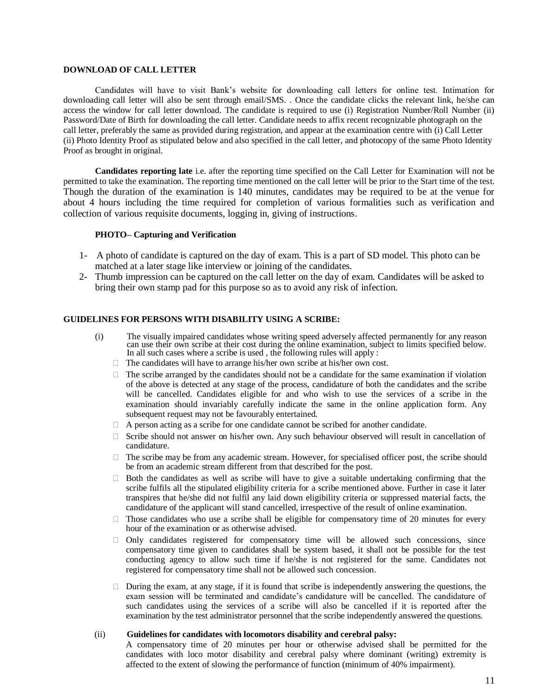#### **DOWNLOAD OF CALL LETTER**

Candidates will have to visit Bank's website for downloading call letters for online test. Intimation for downloading call letter will also be sent through email/SMS. . Once the candidate clicks the relevant link, he/she can access the window for call letter download. The candidate is required to use (i) Registration Number/Roll Number (ii) Password/Date of Birth for downloading the call letter. Candidate needs to affix recent recognizable photograph on the call letter, preferably the same as provided during registration, and appear at the examination centre with (i) Call Letter (ii) Photo Identity Proof as stipulated below and also specified in the call letter, and photocopy of the same Photo Identity Proof as brought in original.

**Candidates reporting late** i.e. after the reporting time specified on the Call Letter for Examination will not be permitted to take the examination. The reporting time mentioned on the call letter will be prior to the Start time of the test. Though the duration of the examination is 140 minutes, candidates may be required to be at the venue for about 4 hours including the time required for completion of various formalities such as verification and collection of various requisite documents, logging in, giving of instructions.

#### **PHOTO– Capturing and Verification**

- 1- A photo of candidate is captured on the day of exam. This is a part of SD model. This photo can be matched at a later stage like interview or joining of the candidates.
- 2- Thumb impression can be captured on the call letter on the day of exam. Candidates will be asked to bring their own stamp pad for this purpose so as to avoid any risk of infection.

## **GUIDELINES FOR PERSONS WITH DISABILITY USING A SCRIBE:**

- (i) The visually impaired candidates whose writing speed adversely affected permanently for any reason can use their own scribe at their cost during the online examination, subject to limits specified below. In all such cases where a scribe is used , the following rules will apply :
	- $\Box$  The candidates will have to arrange his/her own scribe at his/her own cost.
	- $\Box$  The scribe arranged by the candidates should not be a candidate for the same examination if violation of the above is detected at any stage of the process, candidature of both the candidates and the scribe will be cancelled. Candidates eligible for and who wish to use the services of a scribe in the examination should invariably carefully indicate the same in the online application form. Any subsequent request may not be favourably entertained.
	- $\Box$  A person acting as a scribe for one candidate cannot be scribed for another candidate.
	- $\Box$  Scribe should not answer on his/her own. Any such behaviour observed will result in cancellation of candidature.
	- $\Box$  The scribe may be from any academic stream. However, for specialised officer post, the scribe should be from an academic stream different from that described for the post.
	- $\Box$  Both the candidates as well as scribe will have to give a suitable undertaking confirming that the scribe fulfils all the stipulated eligibility criteria for a scribe mentioned above. Further in case it later transpires that he/she did not fulfil any laid down eligibility criteria or suppressed material facts, the candidature of the applicant will stand cancelled, irrespective of the result of online examination.
	- $\Box$  Those candidates who use a scribe shall be eligible for compensatory time of 20 minutes for every hour of the examination or as otherwise advised.
	- $\Box$  Only candidates registered for compensatory time will be allowed such concessions, since compensatory time given to candidates shall be system based, it shall not be possible for the test conducting agency to allow such time if he/she is not registered for the same. Candidates not registered for compensatory time shall not be allowed such concession.
	- $\Box$  During the exam, at any stage, if it is found that scribe is independently answering the questions, the exam session will be terminated and candidate's candidature will be cancelled. The candidature of such candidates using the services of a scribe will also be cancelled if it is reported after the examination by the test administrator personnel that the scribe independently answered the questions.

#### (ii) **Guidelines for candidates with locomotors disability and cerebral palsy:**

A compensatory time of 20 minutes per hour or otherwise advised shall be permitted for the candidates with loco motor disability and cerebral palsy where dominant (writing) extremity is affected to the extent of slowing the performance of function (minimum of 40% impairment).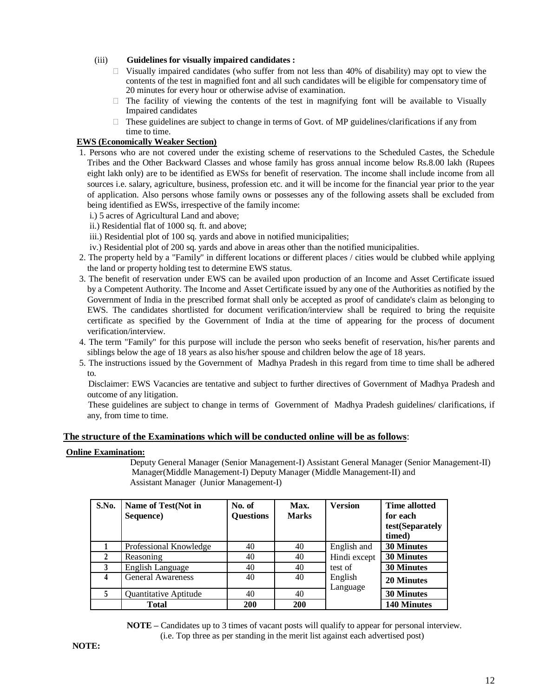## (iii) **Guidelines for visually impaired candidates :**

- $\Box$  Visually impaired candidates (who suffer from not less than 40% of disability) may opt to view the contents of the test in magnified font and all such candidates will be eligible for compensatory time of 20 minutes for every hour or otherwise advise of examination.
- $\Box$  The facility of viewing the contents of the test in magnifying font will be available to Visually Impaired candidates
- $\Box$  These guidelines are subject to change in terms of Govt. of MP guidelines/clarifications if any from time to time.

### **EWS (Economically Weaker Section)**

- 1. Persons who are not covered under the existing scheme of reservations to the Scheduled Castes, the Schedule Tribes and the Other Backward Classes and whose family has gross annual income below Rs.8.00 lakh (Rupees eight lakh only) are to be identified as EWSs for benefit of reservation. The income shall include income from all sources i.e. salary, agriculture, business, profession etc. and it will be income for the financial year prior to the year of application. Also persons whose family owns or possesses any of the following assets shall be excluded from being identified as EWSs, irrespective of the family income:
	- i.) 5 acres of Agricultural Land and above;
	- ii.) Residential flat of 1000 sq. ft. and above;
	- iii.) Residential plot of 100 sq. yards and above in notified municipalities;
	- iv.) Residential plot of 200 sq. yards and above in areas other than the notified municipalities.
- 2. The property held by a "Family" in different locations or different places / cities would be clubbed while applying the land or property holding test to determine EWS status.
- 3. The benefit of reservation under EWS can be availed upon production of an Income and Asset Certificate issued by a Competent Authority. The Income and Asset Certificate issued by any one of the Authorities as notified by the Government of India in the prescribed format shall only be accepted as proof of candidate's claim as belonging to EWS. The candidates shortlisted for document verification/interview shall be required to bring the requisite certificate as specified by the Government of India at the time of appearing for the process of document verification/interview.
- 4. The term "Family" for this purpose will include the person who seeks benefit of reservation, his/her parents and siblings below the age of 18 years as also his/her spouse and children below the age of 18 years.
- 5. The instructions issued by the Government of Madhya Pradesh in this regard from time to time shall be adhered to.

 Disclaimer: EWS Vacancies are tentative and subject to further directives of Government of Madhya Pradesh and outcome of any litigation.

 These guidelines are subject to change in terms of Government of Madhya Pradesh guidelines/ clarifications, if any, from time to time.

#### **The structure of the Examinations which will be conducted online will be as follows**:

#### **Online Examination:**

Deputy General Manager (Senior Management-I) Assistant General Manager (Senior Management-II) Manager(Middle Management-I) Deputy Manager (Middle Management-II) and Assistant Manager (Junior Management-I)

| S.No. | Name of Test(Not in<br>Sequence) | No. of<br><b>Questions</b> | Max.<br><b>Marks</b> | <b>Version</b>      | <b>Time allotted</b><br>for each<br>test(Separately<br>timed) |
|-------|----------------------------------|----------------------------|----------------------|---------------------|---------------------------------------------------------------|
|       | Professional Knowledge           | 40                         | 40                   | English and         | <b>30 Minutes</b>                                             |
|       | Reasoning                        | 40                         | 40                   | Hindi except        | <b>30 Minutes</b>                                             |
| 3     | English Language                 | 40                         | 40                   | test of             | <b>30 Minutes</b>                                             |
|       | <b>General Awareness</b>         | 40                         | 40                   | English<br>Language | <b>20 Minutes</b>                                             |
|       | Quantitative Aptitude            | 40                         | 40                   |                     | <b>30 Minutes</b>                                             |
|       | <b>Total</b>                     | <b>200</b>                 | <b>200</b>           |                     | <b>140 Minutes</b>                                            |

**NOTE –** Candidates up to 3 times of vacant posts will qualify to appear for personal interview. (i.e. Top three as per standing in the merit list against each advertised post)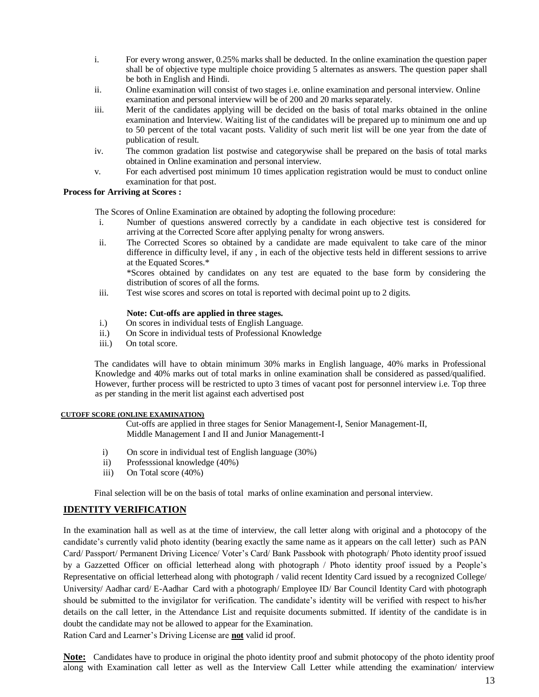- i. For every wrong answer, 0.25% marks shall be deducted. In the online examination the question paper shall be of objective type multiple choice providing 5 alternates as answers. The question paper shall be both in English and Hindi.
- ii. Online examination will consist of two stages i.e. online examination and personal interview. Online examination and personal interview will be of 200 and 20 marks separately.
- iii. Merit of the candidates applying will be decided on the basis of total marks obtained in the online examination and Interview. Waiting list of the candidates will be prepared up to minimum one and up to 50 percent of the total vacant posts. Validity of such merit list will be one year from the date of publication of result.
- iv. The common gradation list postwise and categorywise shall be prepared on the basis of total marks obtained in Online examination and personal interview.
- v. For each advertised post minimum 10 times application registration would be must to conduct online examination for that post.

## **Process for Arriving at Scores :**

The Scores of Online Examination are obtained by adopting the following procedure:

- i. Number of questions answered correctly by a candidate in each objective test is considered for arriving at the Corrected Score after applying penalty for wrong answers.
- ii. The Corrected Scores so obtained by a candidate are made equivalent to take care of the minor difference in difficulty level, if any , in each of the objective tests held in different sessions to arrive at the Equated Scores.\*

\*Scores obtained by candidates on any test are equated to the base form by considering the distribution of scores of all the forms.

iii. Test wise scores and scores on total is reported with decimal point up to 2 digits.

#### **Note: Cut-offs are applied in three stages.**

- i.) On scores in individual tests of English Language.
- ii.) On Score in individual tests of Professional Knowledge
- iii.) On total score.

The candidates will have to obtain minimum 30% marks in English language, 40% marks in Professional Knowledge and 40% marks out of total marks in online examination shall be considered as passed/qualified. However, further process will be restricted to upto 3 times of vacant post for personnel interview i.e. Top three as per standing in the merit list against each advertised post

#### **CUTOFF SCORE (ONLINE EXAMINATION)**

 Cut-offs are applied in three stages for Senior Management-I, Senior Management-II, Middle Management I and II and Junior Managementt-I

- i) On score in individual test of English language (30%)
- ii) Professsional knowledge (40%)
- iii) On Total score (40%)

Final selection will be on the basis of total marks of online examination and personal interview.

# **IDENTITY VERIFICATION**

In the examination hall as well as at the time of interview, the call letter along with original and a photocopy of the candidate's currently valid photo identity (bearing exactly the same name as it appears on the call letter) such as PAN Card/ Passport/ Permanent Driving Licence/ Voter's Card/ Bank Passbook with photograph/ Photo identity proof issued by a Gazzetted Officer on official letterhead along with photograph / Photo identity proof issued by a People's Representative on official letterhead along with photograph / valid recent Identity Card issued by a recognized College/ University/ Aadhar card/ E-Aadhar Card with a photograph/ Employee ID/ Bar Council Identity Card with photograph should be submitted to the invigilator for verification. The candidate's identity will be verified with respect to his/her details on the call letter, in the Attendance List and requisite documents submitted. If identity of the candidate is in doubt the candidate may not be allowed to appear for the Examination.

Ration Card and Learner's Driving License are **not** valid id proof.

**Note:** Candidates have to produce in original the photo identity proof and submit photocopy of the photo identity proof along with Examination call letter as well as the Interview Call Letter while attending the examination/ interview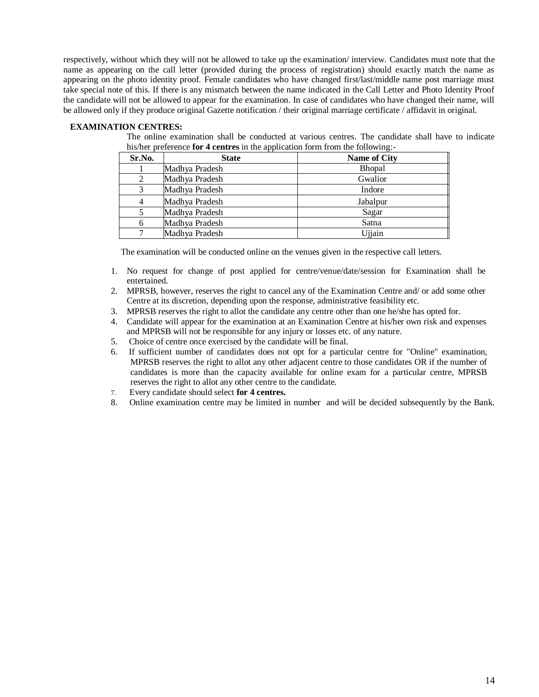respectively, without which they will not be allowed to take up the examination/ interview. Candidates must note that the name as appearing on the call letter (provided during the process of registration) should exactly match the name as appearing on the photo identity proof. Female candidates who have changed first/last/middle name post marriage must take special note of this. If there is any mismatch between the name indicated in the Call Letter and Photo Identity Proof the candidate will not be allowed to appear for the examination. In case of candidates who have changed their name, will be allowed only if they produce original Gazette notification / their original marriage certificate / affidavit in original.

## **EXAMINATION CENTRES:**

The online examination shall be conducted at various centres. The candidate shall have to indicate his/her preference **for 4 centres** in the application form from the following:-

| Sr.No. | <b>State</b>   | Name of City  |
|--------|----------------|---------------|
|        | Madhya Pradesh | <b>Bhopal</b> |
|        | Madhya Pradesh | Gwalior       |
|        | Madhya Pradesh | Indore        |
|        | Madhya Pradesh | Jabalpur      |
|        | Madhya Pradesh | Sagar         |
|        | Madhya Pradesh | Satna         |
|        | Madhya Pradesh | Ujjain        |

The examination will be conducted online on the venues given in the respective call letters.

- 1. No request for change of post applied for centre/venue/date/session for Examination shall be entertained.
- 2. MPRSB, however, reserves the right to cancel any of the Examination Centre and/ or add some other Centre at its discretion, depending upon the response, administrative feasibility etc.
- 3. MPRSB reserves the right to allot the candidate any centre other than one he/she has opted for.
- 4. Candidate will appear for the examination at an Examination Centre at his/her own risk and expenses and MPRSB will not be responsible for any injury or losses etc. of any nature.
- 5. Choice of centre once exercised by the candidate will be final.
- 6. If sufficient number of candidates does not opt for a particular centre for "Online" examination, MPRSB reserves the right to allot any other adjacent centre to those candidates OR if the number of candidates is more than the capacity available for online exam for a particular centre, MPRSB reserves the right to allot any other centre to the candidate.
- 7. Every candidate should select **for 4 centres.**
- 8. Online examination centre may be limited in number and will be decided subsequently by the Bank.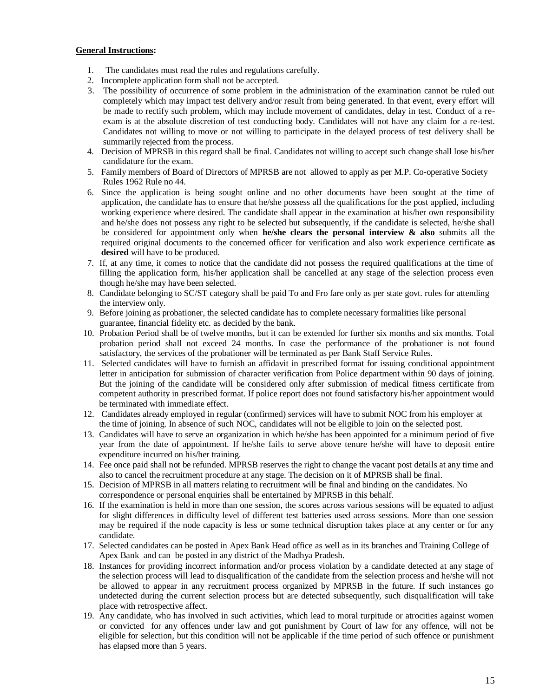#### **General Instructions:**

- 1. The candidates must read the rules and regulations carefully.
- 2. Incomplete application form shall not be accepted.
- 3. The possibility of occurrence of some problem in the administration of the examination cannot be ruled out completely which may impact test delivery and/or result from being generated. In that event, every effort will be made to rectify such problem, which may include movement of candidates, delay in test. Conduct of a reexam is at the absolute discretion of test conducting body. Candidates will not have any claim for a re-test. Candidates not willing to move or not willing to participate in the delayed process of test delivery shall be summarily rejected from the process.
- 4. Decision of MPRSB in this regard shall be final. Candidates not willing to accept such change shall lose his/her candidature for the exam.
- 5. Family members of Board of Directors of MPRSB are not allowed to apply as per M.P. Co-operative Society Rules 1962 Rule no 44.
- 6. Since the application is being sought online and no other documents have been sought at the time of application, the candidate has to ensure that he/she possess all the qualifications for the post applied, including working experience where desired. The candidate shall appear in the examination at his/her own responsibility and he/she does not possess any right to be selected but subsequently, if the candidate is selected, he/she shall be considered for appointment only when **he/she clears the personal interview & also** submits all the required original documents to the concerned officer for verification and also work experience certificate **as desired** will have to be produced.
- 7. If, at any time, it comes to notice that the candidate did not possess the required qualifications at the time of filling the application form, his/her application shall be cancelled at any stage of the selection process even though he/she may have been selected.
- 8. Candidate belonging to SC/ST category shall be paid To and Fro fare only as per state govt. rules for attending the interview only.
- 9. Before joining as probationer, the selected candidate has to complete necessary formalities like personal guarantee, financial fidelity etc. as decided by the bank.
- 10. Probation Period shall be of twelve months, but it can be extended for further six months and six months. Total probation period shall not exceed 24 months. In case the performance of the probationer is not found satisfactory, the services of the probationer will be terminated as per Bank Staff Service Rules.
- 11. Selected candidates will have to furnish an affidavit in prescribed format for issuing conditional appointment letter in anticipation for submission of character verification from Police department within 90 days of joining. But the joining of the candidate will be considered only after submission of medical fitness certificate from competent authority in prescribed format. If police report does not found satisfactory his/her appointment would be terminated with immediate effect.
- 12. Candidates already employed in regular (confirmed) services will have to submit NOC from his employer at the time of joining. In absence of such NOC, candidates will not be eligible to join on the selected post.
- 13. Candidates will have to serve an organization in which he/she has been appointed for a minimum period of five year from the date of appointment. If he/she fails to serve above tenure he/she will have to deposit entire expenditure incurred on his/her training.
- 14. Fee once paid shall not be refunded. MPRSB reserves the right to change the vacant post details at any time and also to cancel the recruitment procedure at any stage. The decision on it of MPRSB shall be final.
- 15. Decision of MPRSB in all matters relating to recruitment will be final and binding on the candidates. No correspondence or personal enquiries shall be entertained by MPRSB in this behalf.
- 16. If the examination is held in more than one session, the scores across various sessions will be equated to adjust for slight differences in difficulty level of different test batteries used across sessions. More than one session may be required if the node capacity is less or some technical disruption takes place at any center or for any candidate.
- 17. Selected candidates can be posted in Apex Bank Head office as well as in its branches and Training College of Apex Bank and can be posted in any district of the Madhya Pradesh.
- 18. Instances for providing incorrect information and/or process violation by a candidate detected at any stage of the selection process will lead to disqualification of the candidate from the selection process and he/she will not be allowed to appear in any recruitment process organized by MPRSB in the future. If such instances go undetected during the current selection process but are detected subsequently, such disqualification will take place with retrospective affect.
- 19. Any candidate, who has involved in such activities, which lead to moral turpitude or atrocities against women or convicted for any offences under law and got punishment by Court of law for any offence, will not be eligible for selection, but this condition will not be applicable if the time period of such offence or punishment has elapsed more than 5 years.